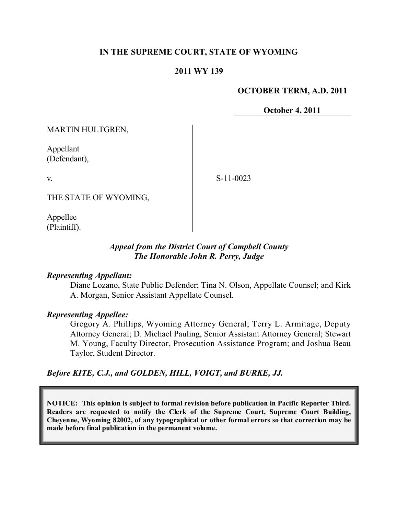## **IN THE SUPREME COURT, STATE OF WYOMING**

### **2011 WY 139**

#### **OCTOBER TERM, A.D. 2011**

**October 4, 2011**

MARTIN HULTGREN,

Appellant (Defendant),

v.

S-11-0023

THE STATE OF WYOMING,

Appellee (Plaintiff).

## *Appeal from the District Court of Campbell County The Honorable John R. Perry, Judge*

#### *Representing Appellant:*

Diane Lozano, State Public Defender; Tina N. Olson, Appellate Counsel; and Kirk A. Morgan, Senior Assistant Appellate Counsel.

### *Representing Appellee:*

Gregory A. Phillips, Wyoming Attorney General; Terry L. Armitage, Deputy Attorney General; D. Michael Pauling, Senior Assistant Attorney General; Stewart M. Young, Faculty Director, Prosecution Assistance Program; and Joshua Beau Taylor, Student Director.

*Before KITE, C.J., and GOLDEN, HILL, VOIGT, and BURKE, JJ.*

**NOTICE: This opinion is subject to formal revision before publication in Pacific Reporter Third. Readers are requested to notify the Clerk of the Supreme Court, Supreme Court Building, Cheyenne, Wyoming 82002, of any typographical or other formal errors so that correction may be made before final publication in the permanent volume.**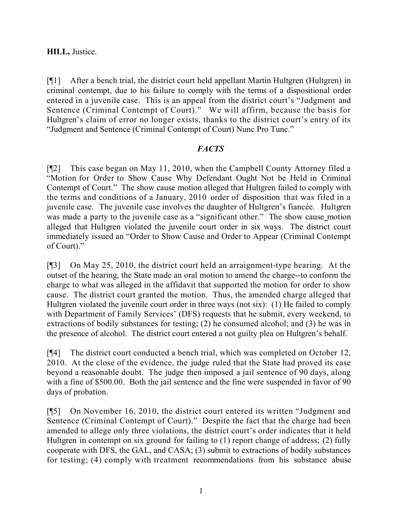## **HILL,** Justice.

[¶1] After a bench trial, the district court held appellant Martin Hultgren (Hultgren) in criminal contempt, due to his failure to comply with the terms of a dispositional order entered in a juvenile case. This is an appeal from the district court's "Judgment and Sentence (Criminal Contempt of Court)." We will affirm, because the basis for Hultgren's claim of error no longer exists, thanks to the district court's entry of its "Judgment and Sentence (Criminal Contempt of Court) Nunc Pro Tunc."

### *FACTS*

[¶2] This case began on May 11, 2010, when the Campbell County Attorney filed a "Motion for Order to Show Cause Why Defendant Ought Not be Held in Criminal Contempt of Court." The show cause motion alleged that Hultgren failed to comply with the terms and conditions of a January, 2010 order of disposition that was filed in a juvenile case. The juvenile case involves the daughter of Hultgren's fiancée. Hultgren was made a party to the juvenile case as a "significant other." The show cause motion alleged that Hultgren violated the juvenile court order in six ways. The district court immediately issued an "Order to Show Cause and Order to Appear (Criminal Contempt of Court)."

[¶3] On May 25, 2010, the district court held an arraignment-type hearing. At the outset of the hearing, the State made an oral motion to amend the charge--to conform the charge to what was alleged in the affidavit that supported the motion for order to show cause. The district court granted the motion. Thus, the amended charge alleged that Hultgren violated the juvenile court order in three ways (not six): (1) He failed to comply with Department of Family Services' (DFS) requests that he submit, every weekend, to extractions of bodily substances for testing; (2) he consumed alcohol; and (3) he was in the presence of alcohol. The district court entered a not guilty plea on Hultgren's behalf.

[¶4] The district court conducted a bench trial, which was completed on October 12, 2010. At the close of the evidence, the judge ruled that the State had proved its case beyond a reasonable doubt. The judge then imposed a jail sentence of 90 days, along with a fine of \$500.00. Both the jail sentence and the fine were suspended in favor of 90 days of probation.

[¶5] On November 16, 2010, the district court entered its written "Judgment and Sentence (Criminal Contempt of Court)." Despite the fact that the charge had been amended to allege only three violations, the district court's order indicates that it held Hultgren in contempt on six ground for failing to (1) report change of address; (2) fully cooperate with DFS, the GAL, and CASA; (3) submit to extractions of bodily substances for testing; (4) comply with treatment recommendations from his substance abuse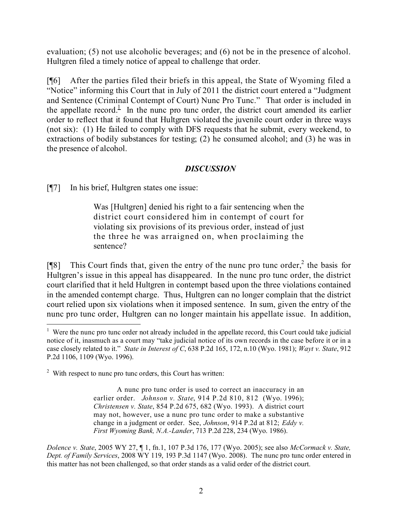evaluation; (5) not use alcoholic beverages; and (6) not be in the presence of alcohol. Hultgren filed a timely notice of appeal to challenge that order.

[¶6] After the parties filed their briefs in this appeal, the State of Wyoming filed a "Notice" informing this Court that in July of 2011 the district court entered a "Judgment and Sentence (Criminal Contempt of Court) Nunc Pro Tunc." That order is included in the appellate record.<sup>1</sup> In the nunc pro tunc order, the district court amended its earlier order to reflect that it found that Hultgren violated the juvenile court order in three ways (not six): (1) He failed to comply with DFS requests that he submit, every weekend, to extractions of bodily substances for testing; (2) he consumed alcohol; and (3) he was in the presence of alcohol.

# *DISCUSSION*

[¶7] In his brief, Hultgren states one issue:

Was [Hultgren] denied his right to a fair sentencing when the district court considered him in contempt of court for violating six provisions of its previous order, instead of just the three he was arraigned on, when proclaiming the sentence?

[¶8] This Court finds that, given the entry of the nunc pro tunc order,  $2$  the basis for Hultgren's issue in this appeal has disappeared. In the nunc pro tunc order, the district court clarified that it held Hultgren in contempt based upon the three violations contained in the amended contempt charge. Thus, Hultgren can no longer complain that the district court relied upon six violations when it imposed sentence. In sum, given the entry of the nunc pro tunc order, Hultgren can no longer maintain his appellate issue. In addition,

 $2$  With respect to nunc pro tunc orders, this Court has written:

 $\overline{a}$ 

A nunc pro tunc order is used to correct an inaccuracy in an earlier order. *Johnson v. State*, 914 P.2d 810, 812 (Wyo. 1996); *Christensen v. State*, 854 P.2d 675, 682 (Wyo. 1993). A district court may not, however, use a nunc pro tunc order to make a substantive change in a judgment or order. See, *Johnson*, 914 P.2d at 812; *Eddy v. First Wyoming Bank, N.A.-Lander*, 713 P.2d 228, 234 (Wyo. 1986).

*Dolence v. State*, 2005 WY 27, ¶ 1, fn.1, 107 P.3d 176, 177 (Wyo. 2005); see also *McCormack v. State, Dept. of Family Services*, 2008 WY 119, 193 P.3d 1147 (Wyo. 2008). The nunc pro tunc order entered in this matter has not been challenged, so that order stands as a valid order of the district court.

<sup>&</sup>lt;sup>1</sup> Were the nunc pro tunc order not already included in the appellate record, this Court could take judicial notice of it, inasmuch as a court may "take judicial notice of its own records in the case before it or in a case closely related to it." *State in Interest of C*, 638 P.2d 165, 172, n.10 (Wyo. 1981); *Wayt v. State*, 912 P.2d 1106, 1109 (Wyo. 1996).